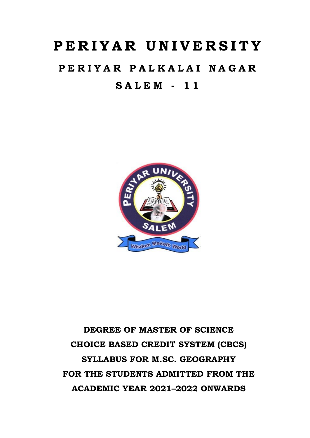# **P E R I Y A R U N I V E R S I T Y**

# **P E R I Y A R P A L K A L A I N A G A R S A L E M - 1 1**



# **DEGREE OF MASTER OF SCIENCE CHOICE BASED CREDIT SYSTEM (CBCS) SYLLABUS FOR M.SC. GEOGRAPHY FOR THE STUDENTS ADMITTED FROM THE ACADEMIC YEAR 2021–2022 ONWARDS**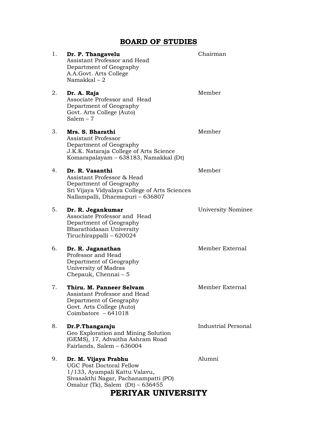# **BOARD OF STUDIES**

| 1. | Dr. P. Thangavelu<br>Assistant Professor and Head<br>Department of Geography<br>A.A. Govt. Arts College<br>Namakkal $-2$                                               | Chairman            |
|----|------------------------------------------------------------------------------------------------------------------------------------------------------------------------|---------------------|
| 2. | Dr. A. Raja<br>Associate Professor and Head<br>Department of Geography<br>Govt. Arts College (Auto)<br>Salem $-7$                                                      | Member              |
| 3. | Mrs. S. Bharathi<br><b>Assistant Professor</b><br>Department of Geography<br>J.K.K. Nataraja College of Arts Science<br>Komarapalayam - 638183, Namakkal (Dt)          | Member              |
| 4. | Dr. R. Vasanthi<br>Assistant Professor & Head<br>Department of Geography<br>Sri Vijaya Vidyalaya College of Arts Sciences<br>Nallampalli, Dharmapuri - 636807          | Member              |
| 5. | Dr. R. Jegankumar<br>Associate Professor and Head<br>Department of Geography<br>Bharathidasan University<br>Tiruchirappalli - 620024                                   | University Nominee  |
| 6. | Dr. R. Jaganathan<br>Professor and Head<br>Department of Geography<br>University of Madras<br>Chepauk, Chennai - 5                                                     | Member External     |
| 7. | Thiru. M. Panneer Selvam<br>Assistant Professor and Head<br>Department of Geography<br>Govt. Arts College (Auto)<br>Coimbatore $-641018$                               | Member External     |
| 8. | Dr.P.Thangaraju<br>Geo Exploration and Mining Solution<br>(GEMS), 17, Advaitha Ashram Road<br>Fairlands, Salem - 636004                                                | Industrial Personal |
| 9. | Dr. M. Vijaya Prabhu<br><b>UGC Post Doctoral Fellow</b><br>1/133, Ayampali Kattu Valavu,<br>Sivasakthi Nagar, Pachanampatti (PO)<br>Omalur (Tk), Salem $(Dt)$ – 636455 | Alumni              |

# **PERIYAR UNIVERSITY**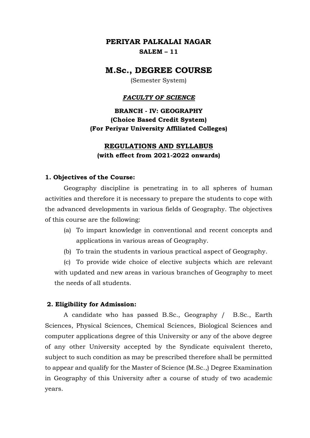# **PERIYAR PALKALAI NAGAR SALEM – 11**

# **M.Sc., DEGREE COURSE**

(Semester System)

#### *FACULTY OF SCIENCE*

**BRANCH - IV: GEOGRAPHY (Choice Based Credit System) (For Periyar University Affiliated Colleges)**

# **REGULATIONS AND SYLLABUS (with effect from 2021-2022 onwards)**

#### **1. Objectives of the Course:**

Geography discipline is penetrating in to all spheres of human activities and therefore it is necessary to prepare the students to cope with the advanced developments in various fields of Geography. The objectives of this course are the following:

- (a) To impart knowledge in conventional and recent concepts and applications in various areas of Geography.
- (b) To train the students in various practical aspect of Geography.

(c) To provide wide choice of elective subjects which are relevant with updated and new areas in various branches of Geography to meet the needs of all students.

#### **2. Eligibility for Admission:**

A candidate who has passed B.Sc., Geography / B.Sc., Earth Sciences, Physical Sciences, Chemical Sciences, Biological Sciences and computer applications degree of this University or any of the above degree of any other University accepted by the Syndicate equivalent thereto, subject to such condition as may be prescribed therefore shall be permitted to appear and qualify for the Master of Science (M.Sc.,) Degree Examination in Geography of this University after a course of study of two academic years.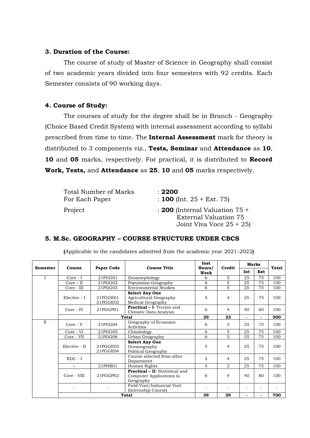#### **3. Duration of the Course:**

The course of study of Master of Science in Geography shall consist of two academic years divided into four semesters with 92 credits. Each Semester consists of 90 working days.

### **4. Course of Study:**

The courses of study for the degree shall be in Branch - Geography (Choice Based Credit System) with internal assessment according to syllabi prescribed from time to time. The **Internal Assessment** mark for theory is distributed to 3 components viz., **Tests, Seminar** and **Attendance** as **10**, **10** and **05** marks, respectively. For practical, it is distributed to **Record Work, Tests,** and **Attendance** as **25**, **10** and **05** marks respectively.

| <b>Total Number of Marks</b> | : 2200                                                                                 |
|------------------------------|----------------------------------------------------------------------------------------|
| For Each Paper               | : 100 (Int. $25 + \text{Ext}$ . 75)                                                    |
| Project                      | : 200 (Internal Valuation $75 +$<br>External Valuation 75<br>Joint Viva Voce $25 + 25$ |

#### **5. M.Sc. GEOGRAPHY – COURSE STRUCTURE UNDER CBCS**

| <b>Semester</b> | Course         | Paper Code           | <b>Course Title</b>                                                             | Inst<br>Hours/<br>Week | Credit         | <b>Marks</b> |                | <b>Total</b> |
|-----------------|----------------|----------------------|---------------------------------------------------------------------------------|------------------------|----------------|--------------|----------------|--------------|
|                 |                |                      |                                                                                 |                        |                | Int          | Ext            |              |
|                 | Core - I       | 21PGG01              | Geomorphology                                                                   | 6                      | 5              | 25           | 75             | 100          |
|                 | $Core - II$    | 21PGG02              | Population Geography                                                            | 6                      | 5              | 25           | 75             | 100          |
|                 | Core - III     | 21PGG03              | <b>Environmental Studies</b>                                                    | 6                      | 5              | 25           | 75             | 100          |
|                 | Elective - I   | 21PGGE01<br>21PGGE02 | <b>Select Any One</b><br>Agricultural Geography<br>Medical Geography            | 5                      | 4              | 25           | 75             | 100          |
|                 | Core - IV      | 21PGGP01             | <b>Practical - I:</b> Terrain and<br>Climatic Data Analysis                     | 6                      | $\overline{4}$ | 40           | 60             | 100          |
|                 |                |                      | <b>Total</b>                                                                    | 29                     | 23             |              | $\blacksquare$ | 500          |
| $\mathbf{I}$    | Core - V       | 21PGG04              | Geography of Economic<br>Activities                                             | 6                      | 5              | 25           | 75             | 100          |
|                 | Core - VI      | 21PGG05              | Climatology                                                                     | 6                      | 5              | 25           | 75             | 100          |
|                 | Core - VII     | 21PGG06              | Urban Geography                                                                 | 6                      | 5              | 25           | 75             | 100          |
|                 | Elective - II  | 21PGGE03<br>21PGGE04 | <b>Select Any One</b><br>Oceanography<br>Political Geography                    | 5                      | 4              | 25           | 75             | 100          |
|                 | $EDC - I$      |                      | Course selected from other<br>Department                                        | 5                      | $\overline{4}$ | 25           | 75             | 100          |
|                 | $\blacksquare$ | 21PHR01              | Human Rights                                                                    | 5                      | $\overline{2}$ | 25           | 75             | 100          |
|                 | Core - VIII    | 21PGGP02             | <b>Practical - II:</b> Statistical and<br>Computer Applications in<br>Geography | 6                      | $\overline{4}$ | 40           | 60             | 100          |
|                 |                |                      | Field Visit/Industrial Visit<br>(Internship Course)                             | $\blacksquare$         |                |              |                |              |
|                 |                |                      | <b>Total</b>                                                                    | 39                     | 29             |              |                | 700          |

**(**Applicable to the candidates admitted from the academic year 2021-2022**)**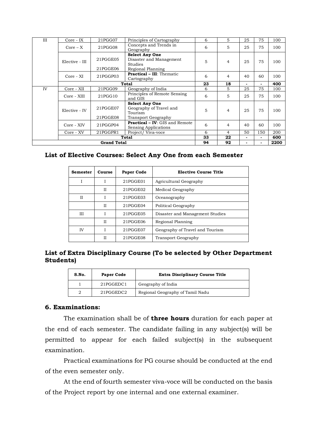| Ш  | Core - IX      | 21PGG07              | Principles of Cartography                                                          | 6  | 5              | 25 | 75             | 100 |
|----|----------------|----------------------|------------------------------------------------------------------------------------|----|----------------|----|----------------|-----|
|    | $Core - X$     | 21PGG08              | Concepts and Trends in<br>Geography                                                | 6  | 5              | 25 | 75             | 100 |
|    | Elective - III | 21PGGE05<br>21PGGE06 | <b>Select Any One</b><br>Disaster and Management<br>Studies<br>Regional Planning   | 5  | $\overline{4}$ | 25 | 75             | 100 |
|    | Core - XI      | 21PGGP03             | <b>Practical - III:</b> Thematic<br>Cartography                                    | 6  | $\overline{4}$ | 40 | 60             | 100 |
|    |                |                      | Total                                                                              | 23 | 18             | ۰  | ۰.             | 400 |
| IV | Core - XII     | 21PGG09              | Geography of India                                                                 | 6  | 5              | 25 | 75             | 100 |
|    | Core - XIII    | 21PGG10              | Principles of Remote Sensing<br>and GIS                                            | 6  | 5              | 25 | 75             | 100 |
|    | Elective - IV  | 21PGGE07<br>21PGGE08 | <b>Select Any One</b><br>Geography of Travel and<br>Tourism<br>Transport Geography | 5  | 4              | 25 | 75             | 100 |
|    | Core - XIV     | 21PGGP04             | <b>Practical - IV: GIS and Remote</b><br><b>Sensing Applications</b>               | 6  | $\overline{4}$ | 40 | 60             | 100 |
|    | Core - XV      | 21PGGPR1             | Project/Viva-voce                                                                  | 6  | 4              | 50 | 150            | 200 |
|    |                |                      | <b>Total</b>                                                                       | 33 | 22             | ۰  | $\blacksquare$ | 600 |
|    | 94             | 92                   |                                                                                    |    | 2200           |    |                |     |

#### **List of Elective Courses: Select Any One from each Semester**

| Semester    | Course | Paper Code                         | <b>Elective Course Title</b>    |  |
|-------------|--------|------------------------------------|---------------------------------|--|
| I           | I      | 21PGGE01<br>Agricultural Geography |                                 |  |
|             | Н      | 21PGGE02                           | Medical Geography               |  |
| $_{\rm II}$ |        | 21PGGE03                           | Oceanography                    |  |
|             | H      | 21PGGE04                           | Political Geography             |  |
| Ш           |        | 21PGGE05                           | Disaster and Management Studies |  |
|             | H      | 21PGGE06                           | Regional Planning               |  |
| <b>IV</b>   |        | 21PGGE07                           | Geography of Travel and Tourism |  |
|             | Н      | 21PGGE08                           | Transport Geography             |  |

### **List of Extra Disciplinary Course (To be selected by Other Department Students)**

|           | S.No.<br><b>Paper Code</b><br>21PGGEDC1 |  | <b>Extra Disciplinary Course Title</b> |  |  |
|-----------|-----------------------------------------|--|----------------------------------------|--|--|
|           |                                         |  | Geography of India                     |  |  |
| 21PGGEDC2 |                                         |  | Regional Geography of Tamil Nadu       |  |  |

### **6. Examinations:**

The examination shall be of **three hours** duration for each paper at the end of each semester. The candidate failing in any subject(s) will be permitted to appear for each failed subject(s) in the subsequent examination.

Practical examinations for PG course should be conducted at the end of the even semester only.

At the end of fourth semester viva-voce will be conducted on the basis of the Project report by one internal and one external examiner.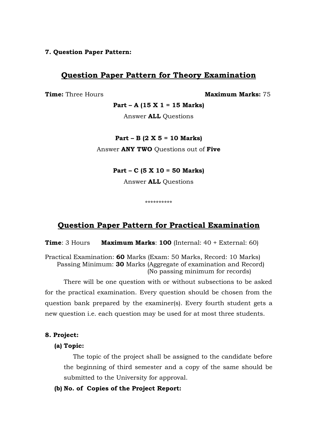### **7. Question Paper Pattern:**

# **Question Paper Pattern for Theory Examination**

**Time:** Three Hours **Maximum Marks:** 75

**Part – A (15 X 1 = 15 Marks)**

Answer **ALL** Questions

#### **Part – B (2 X 5 = 10 Marks)**

Answer **ANY TWO** Questions out of **Five**

### **Part – C (5 X 10 = 50 Marks)**

Answer **ALL** Questions

\*\*\*\*\*\*\*\*\*\*

# **Question Paper Pattern for Practical Examination**

**Time**: 3 Hours **Maximum Marks**: **100** (Internal: 40 + External: 60)

Practical Examination: **60** Marks (Exam: 50 Marks, Record: 10 Marks) Passing Minimum: **30** Marks (Aggregate of examination and Record) (No passing minimum for records)

There will be one question with or without subsections to be asked for the practical examination. Every question should be chosen from the question bank prepared by the examiner(s). Every fourth student gets a new question i.e. each question may be used for at most three students.

#### **8. Project:**

#### **(a) Topic:**

The topic of the project shall be assigned to the candidate before the beginning of third semester and a copy of the same should be submitted to the University for approval.

#### **(b) No. of Copies of the Project Report:**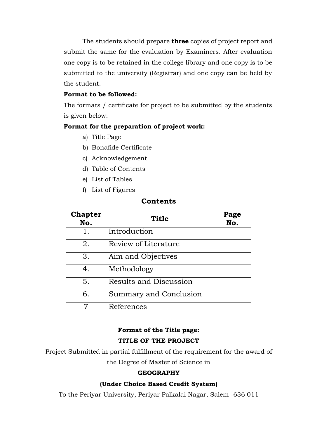The students should prepare **three** copies of project report and submit the same for the evaluation by Examiners. After evaluation one copy is to be retained in the college library and one copy is to be submitted to the university (Registrar) and one copy can be held by the student.

### **Format to be followed:**

The formats / certificate for project to be submitted by the students is given below:

### **Format for the preparation of project work:**

- a) Title Page
- b) Bonafide Certificate
- c) Acknowledgement
- d) Table of Contents
- e) List of Tables
- f) List of Figures

# **Contents**

| <b>Chapter</b><br>No. | <b>Title</b>                  | Page<br>No. |
|-----------------------|-------------------------------|-------------|
| 1.                    | Introduction                  |             |
| 2.                    | Review of Literature          |             |
| 3.                    | Aim and Objectives            |             |
| 4.                    | Methodology                   |             |
| 5.                    | <b>Results and Discussion</b> |             |
| 6.                    | Summary and Conclusion        |             |
| 7                     | References                    |             |

# **Format of the Title page: TITLE OF THE PROJECT**

Project Submitted in partial fulfillment of the requirement for the award of the Degree of Master of Science in

# **GEOGRAPHY**

### **(Under Choice Based Credit System)**

To the Periyar University, Periyar Palkalai Nagar, Salem -636 011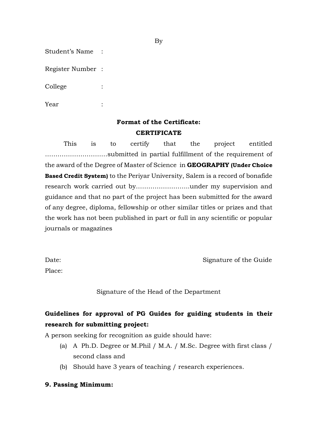Student's Name :

Register Number :

College :

Year :

# **Format of the Certificate: CERTIFICATE**

This is to certify that the project entitled …………………………submitted in partial fulfillment of the requirement of the award of the Degree of Master of Science in **GEOGRAPHY (Under Choice Based Credit System)** to the Periyar University, Salem is a record of bonafide research work carried out by……………………..under my supervision and guidance and that no part of the project has been submitted for the award of any degree, diploma, fellowship or other similar titles or prizes and that the work has not been published in part or full in any scientific or popular journals or magazines

Date: Signature of the Guide

Place:

Signature of the Head of the Department

# **Guidelines for approval of PG Guides for guiding students in their research for submitting project:**

A person seeking for recognition as guide should have:

- (a) A Ph.D. Degree or M.Phil / M.A. / M.Sc. Degree with first class / second class and
- (b) Should have 3 years of teaching / research experiences.

#### **9. Passing Minimum:**

By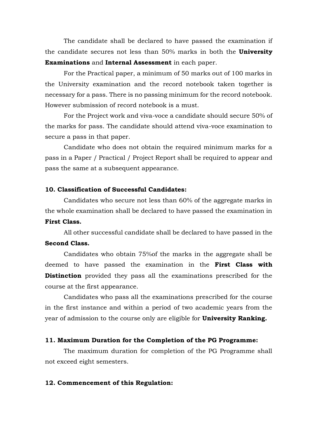The candidate shall be declared to have passed the examination if the candidate secures not less than 50% marks in both the **University Examinations** and **Internal Assessment** in each paper.

For the Practical paper, a minimum of 50 marks out of 100 marks in the University examination and the record notebook taken together is necessary for a pass. There is no passing minimum for the record notebook. However submission of record notebook is a must.

For the Project work and viva-voce a candidate should secure 50% of the marks for pass. The candidate should attend viva-voce examination to secure a pass in that paper.

Candidate who does not obtain the required minimum marks for a pass in a Paper / Practical / Project Report shall be required to appear and pass the same at a subsequent appearance.

#### **10. Classification of Successful Candidates:**

Candidates who secure not less than 60% of the aggregate marks in the whole examination shall be declared to have passed the examination in **First Class.**

All other successful candidate shall be declared to have passed in the **Second Class.**

Candidates who obtain 75%of the marks in the aggregate shall be deemed to have passed the examination in the **First Class with Distinction** provided they pass all the examinations prescribed for the course at the first appearance.

Candidates who pass all the examinations prescribed for the course in the first instance and within a period of two academic years from the year of admission to the course only are eligible for **University Ranking.**

#### **11. Maximum Duration for the Completion of the PG Programme:**

The maximum duration for completion of the PG Programme shall not exceed eight semesters.

#### **12. Commencement of this Regulation:**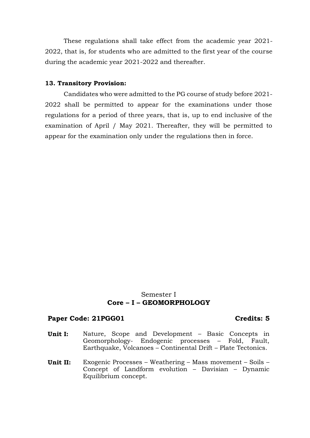These regulations shall take effect from the academic year 2021- 2022, that is, for students who are admitted to the first year of the course during the academic year 2021-2022 and thereafter.

#### **13. Transitory Provision:**

Candidates who were admitted to the PG course of study before 2021- 2022 shall be permitted to appear for the examinations under those regulations for a period of three years, that is, up to end inclusive of the examination of April / May 2021. Thereafter, they will be permitted to appear for the examination only under the regulations then in force.

### Semester I **Core – I – GEOMORPHOLOGY**

#### Paper Code: 21PGG01 **Credits: 5**

- **Unit I:** Nature, Scope and Development Basic Concepts in Geomorphology- Endogenic processes – Fold, Fault, Earthquake, Volcanoes – Continental Drift – Plate Tectonics.
- **Unit II:** Exogenic Processes Weathering Mass movement Soils Concept of Landform evolution – Davisian – Dynamic Equilibrium concept.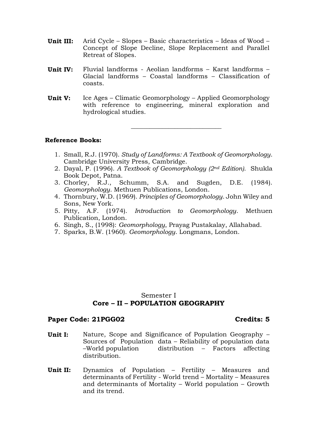- **Unit III:** Arid Cycle Slopes Basic characteristics Ideas of Wood Concept of Slope Decline, Slope Replacement and Parallel Retreat of Slopes.
- **Unit IV:** Fluvial landforms Aeolian landforms Karst landforms Glacial landforms – Coastal landforms – Classification of coasts.
- **Unit V:** Ice Ages Climatic Geomorphology Applied Geomorphology with reference to engineering, mineral exploration and hydrological studies.

#### **Reference Books:**

1. Small, R.J. (1970). *Study of Landforms: A Textbook of Geomorphology*. Cambridge University Press, Cambridge.

 $\_$ 

- 2. Dayal, P. (1996). *A Textbook of Geomorphology (2nd Edition)*. Shukla Book Depot, Patna.
- 3. Chorley, R.J., Schumm, S.A. and Sugden, D.E. (1984). *Geomorphology*. Methuen Publications, London.
- 4. Thornbury, W.D. (1969). *Principles of Geomorphology*. John Wiley and Sons, New York.
- 5. Pitty, A.F. (1974). *Introduction to Geomorphology*. Methuen Publication, London.
- 6. Singh, S., (1998): *Geomorphology*, Prayag Pustakalay, Allahabad.
- 7. Sparks, B.W. (1960). *Geomorphology*. Longmans, London.

### Semester I **Core – II – POPULATION GEOGRAPHY**

#### Paper Code: 21PGG02 **Credits: 5**

- **Unit I:** Nature, Scope and Significance of Population Geography -Sources of Population data – Reliability of population data<br>–World population – distribution – Factors affecting  $distribution - Factors$  affecting distribution.
- **Unit II:** Dynamics of Population Fertility Measures and determinants of Fertility - World trend – Mortality – Measures and determinants of Mortality – World population – Growth and its trend.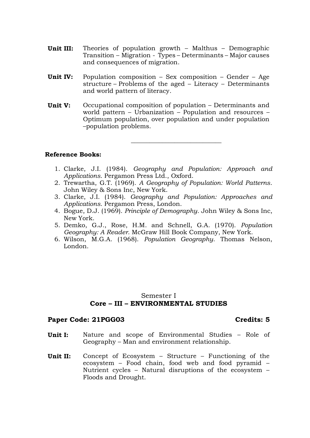- **Unit III:** Theories of population growth Malthus Demographic Transition – Migration - Types – Determinants – Major causes and consequences of migration.
- **Unit IV:** Population composition Sex composition Gender Age structure – Problems of the aged – Literacy – Determinants and world pattern of literacy.
- **Unit V:** Occupational composition of population Determinants and world pattern – Urbanization – Population and resources – Optimum population, over population and under population –population problems.

\_\_\_\_\_\_\_\_\_\_\_\_\_\_\_\_\_\_\_\_\_\_\_\_\_\_\_\_\_

#### **Reference Books:**

- 1. Clarke, J.I. (1984). *Geography and Population: Approach and Applications*. Pergamon Press Ltd., Oxford.
- 2. Trewartha, G.T. (1969). *A Geography of Population: World Patterns*. John Wiley & Sons Inc, New York.
- 3. Clarke, J.I. (1984). *Geography and Population: Approaches and Applications*. Pergamon Press, London.
- 4. [Bogue,](http://www.amazon.in/s/ref=dp_byline_sr_book_1?ie=UTF8&field-author=Donald+J.+Bogue&search-alias=stripbooks) D.J. (1969). *Principle of Demography*. John Wiley & Sons Inc, New York.
- 5. Demko, G.J., Rose, H.M. and Schnell, G.A. (1970). *Population Geography: A Reader*. McGraw Hill Book Company, New York.
- 6. Wilson, M.G.A. (1968). *Population Geography*. Thomas Nelson, London.

#### Semester I **Core – III – ENVIRONMENTAL STUDIES**

#### **Paper Code: 21PGG03 Credits: 5**

- **Unit I:** Nature and scope of Environmental Studies Role of Geography – Man and environment relationship.
- **Unit II:** Concept of Ecosystem Structure Functioning of the ecosystem – Food chain, food web and food pyramid – Nutrient cycles – Natural disruptions of the ecosystem – Floods and Drought.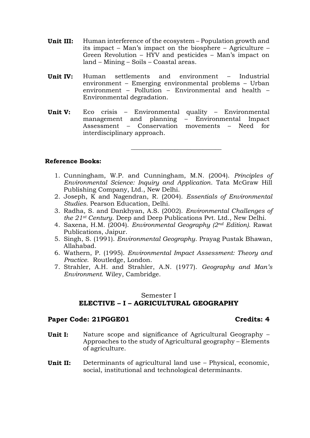- **Unit III:** Human interference of the ecosystem Population growth and its impact – Man's impact on the biosphere – Agriculture – Green Revolution – HYV and pesticides – Man's impact on land – Mining – Soils – Coastal areas.
- **Unit IV:** Human settlements and environment Industrial environment – Emerging environmental problems – Urban environment – Pollution – Environmental and health – Environmental degradation.
- **Unit V:** Eco crisis Environmental quality Environmental management and planning – Environmental Impact Assessment – Conservation movements – Need for interdisciplinary approach.

 $\_$ 

#### **Reference Books:**

- 1. Cunningham, W.P. and Cunningham, M.N. (2004). *Principles of Environmental Science: Inquiry and Application*. Tata McGraw Hill Publishing Company, Ltd., New Delhi.
- 2. Joseph, K and Nagendran, R. (2004). *Essentials of Environmental Studies*. Pearson Education, Delhi.
- 3. Radha, S. and Dankhyan, A.S. (2002). *Environmental Challenges of the 21st Century*. Deep and Deep Publications Pvt. Ltd., New Delhi.
- 4. Saxena, H.M. (2004). *Environmental Geography (2nd Edition)*. Rawat Publications, Jaipur.
- 5. Singh, S. (1991). *Environmental Geography*. Prayag Pustak Bhawan, Allahabad.
- 6. Wathern, P. (1995). *Environmental Impact Assessment: Theory and Practice*. Routledge, London.
- 7. Strahler, A.H. and Strahler, A.N. (1977). *Geography and Man's Environment*. Wiley, Cambridge.

# Semester I **ELECTIVE – I – AGRICULTURAL GEOGRAPHY**

#### Paper Code: 21PGGE01 **Credits: 4**

- **Unit I:** Nature scope and significance of Agricultural Geography Approaches to the study of Agricultural geography – Elements of agriculture.
- **Unit II:** Determinants of agricultural land use Physical, economic, social, institutional and technological determinants.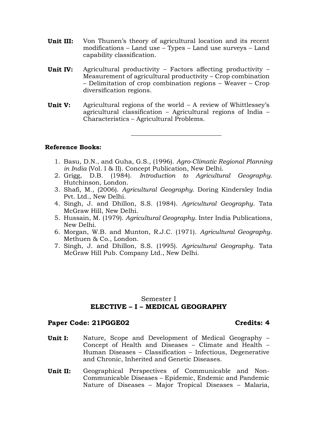- **Unit III:** Von Thunen's theory of agricultural location and its recent modifications – Land use – Types – Land use surveys – Land capability classification.
- **Unit IV:** Agricultural productivity Factors affecting productivity Measurement of agricultural productivity – Crop combination – Delimitation of crop combination regions – Weaver – Crop diversification regions.
- **Unit V:** Agricultural regions of the world A review of Whittlessey's agricultural classification – Agricultural regions of India – Characteristics – Agricultural Problems.

**Reference Books:**

1. Basu, D.N., and Guha, G.S., (1996). *Agro-Climatic Regional Planning in India* (Vol. I & II). Concept Publication, New Delhi.

 $\_$ 

- 2. Grigg, D.B. (1984). *Introduction to Agricultural Geography.* Hutchinson, London.
- 3. Shafi, M., (2006). *Agricultural Geography.* Doring Kindersley India Pvt. Ltd., New Delhi.
- 4. Singh, J. and Dhillon, S.S. (1984). *Agricultural Geography*. Tata McGraw Hill, New Delhi.
- 5. Hussain, M. (1979). *Agricultural Geography*. Inter India Publications, New Delhi.
- 6. Morgan, W.B. and Munton, R.J.C. (1971). *Agricultural Geography*. Methuen & Co., London.
- 7. Singh, J. and Dhillon, S.S. (1995). *Agricultural Geography*. Tata McGraw Hill Pub. Company Ltd., New Delhi.

#### Semester I **ELECTIVE – I – MEDICAL GEOGRAPHY**

#### **Paper Code: 21PGGE02 Credits: 4**

- **Unit I:** Nature, Scope and Development of Medical Geography Concept of Health and Diseases – Climate and Health – Human Diseases – Classification – Infectious, Degenerative and Chronic, Inherited and Genetic Diseases.
- **Unit II:** Geographical Perspectives of Communicable and Non-Communicable Diseases – Epidemic, Endemic and Pandemic Nature of Diseases – Major Tropical Diseases – Malaria,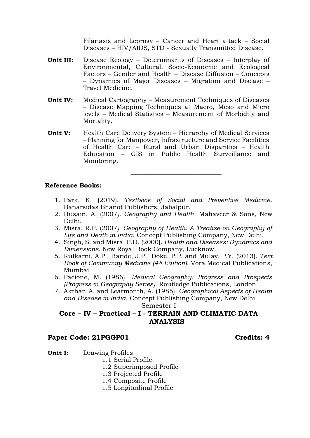Filariasis and Leprosy – Cancer and Heart attack – Social Diseases – HIV/AIDS, STD - Sexually Transmitted Disease.

- **Unit III:** Disease Ecology Determinants of Diseases Interplay of Environmental, Cultural, Socio-Economic and Ecological Factors – Gender and Health – Disease Diffusion – Concepts – Dynamics of Major Diseases – Migration and Disease – Travel Medicine.
- **Unit IV:** Medical Cartography Measurement Techniques of Diseases – Disease Mapping Techniques at Macro, Meso and Micro levels – Medical Statistics – Measurement of Morbidity and Mortality.
- **Unit V:** Health Care Delivery System Hierarchy of Medical Services – Planning for Manpower, Infrastructure and Service Facilities of Health Care – Rural and Urban Disparities – Health Education – GIS in Public Health Surveillance and Monitoring.

#### **Reference Books:**

1. Park, K. (2019). *Textbook of Social and Preventive Medicine*. Banarsidas Bhanot Publishers, Jabalpur.

**\_\_\_\_\_\_\_\_\_\_\_\_\_\_\_\_\_\_\_\_\_\_\_\_\_\_\_\_\_**

- 2. Husain, A. (2007*)*. *Geography and Health*. Mahaveer & Sons, New Delhi.
- 3. Misra, R.P. (2007*)*. *Geography of Health: A Treatise on Geography of Life and Death in India*. Concept Publishing Company, New Delhi.
- 4. Singh, S. and Misra, P.D. (2000). *Health and Diseases: Dynamics and Dimensions*. New Royal Book Company, Lucknow.
- 5. Kulkarni, A.P., Baride, J.P., Doke, P.P. and Mulay, P.Y. (2013). *Text Book of Community Medicine (4th Edition)*. Vora Medical Publications, Mumbai.
- 6. Pacione, M. (1986). *Medical Geography: Progress and Prospects (Progress in Geography Series)*. Routledge Publications, London.
- 7. Akthar, A. and Learmonth, A. (1985). *Geographical Aspects of Health and Disease in India*. Concept Publishing Company, New Delhi.

Semester I

### **Core – IV – Practical – I - TERRAIN AND CLIMATIC DATA ANALYSIS**

#### **Paper Code: 21PGGP01 Credits: 4**

**Unit I:** Drawing Profiles

- 1.1 Serial Profile
- 1.2 Superimposed Profile
- 1.3 Projected Profile
- 1.4 Composite Profile
- 1.5 Longitudinal Profile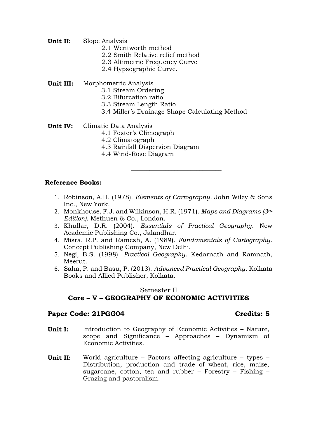- **Unit II:** Slope Analysis
	- 2.1 Wentworth method
	- 2.2 Smith Relative relief method
	- 2.3 Altimetric Frequency Curve
	- 2.4 Hypsographic Curve.

**Unit III:** Morphometric Analysis

- 3.1 Stream Ordering
- 3.2 Bifurcation ratio
- 3.3 Stream Length Ratio
- 3.4 Miller's Drainage Shape Calculating Method

 $\_$ 

- **Unit IV:** Climatic Data Analysis
	- 4.1 Foster's Climograph
	- 4.2 Climatograph
	- 4.3 Rainfall Dispersion Diagram
	- 4.4 Wind-Rose Diagram

#### **Reference Books:**

- 1. Robinson, A.H. (1978). *Elements of Cartography*. John Wiley & Sons Inc., New York.
- 2. Monkhouse, F.J. and Wilkinson, H.R. (1971). *Maps and Diagrams (3rd Edition)*. Methuen & Co., London.
- 3. Khullar, D.R. (2004). *Essentials of Practical Geography*. New Academic Publishing Co., Jalandhar.
- 4. Misra, R.P. and Ramesh, A. (1989). *Fundamentals of Cartography*. Concept Publishing Company, New Delhi.
- 5. Negi, B.S. (1998). *Practical Geography*. Kedarnath and Ramnath, Meerut.
- 6. Saha, P. and Basu, P. (2013). *Advanced Practical Geography*. Kolkata Books and Allied Publisher, Kolkata.

### Semester II **Core – V – GEOGRAPHY OF ECONOMIC ACTIVITIES**

#### Paper Code: 21PGG04 **Credits: 5**

- **Unit I:** Introduction to Geography of Economic Activities Nature, scope and Significance – Approaches – Dynamism of Economic Activities.
- **Unit II:** World agriculture Factors affecting agriculture types Distribution, production and trade of wheat, rice, maize, sugarcane, cotton, tea and rubber – Forestry – Fishing – Grazing and pastoralism.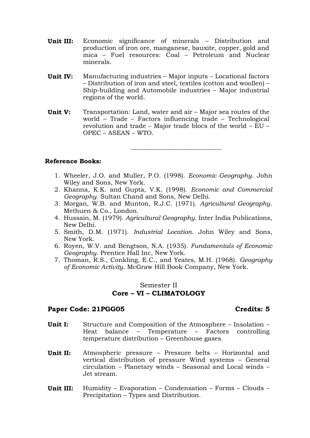- **Unit III:** Economic significance of minerals Distribution and production of iron ore, manganese, bauxite, copper, gold and mica – Fuel resources: Coal – Petroleum and Nuclear minerals.
- **Unit IV:** Manufacturing industries Major inputs Locational factors – Distribution of iron and steel, textiles (cotton and woollen) – Ship-building and Automobile industries – Major industrial regions of the world.
- **Unit V:** Transportation: Land, water and air Major sea routes of the world – Trade – Factors influencing trade – Technological revolution and trade – Major trade blocs of the world – EU – OPEC – ASEAN – WTO.

 $\_$ 

#### **Reference Books:**

- 1. Wheeler, J.O. and Muller, P.O. (1998). *Economic Geography*. John Wiley and Sons, New York.
- 2. Khanna, K.K. and Gupta, V.K. (1998). *Economic and Commercial Geography*. Sultan Chand and Sons, New Delhi.
- 3. Morgan, W.B. and Munton, R.J.C. (1971). *Agricultural Geography*. Methuen & Co., London.
- 4. Hussain, M. (1979). *Agricultural Geography*. Inter India Publications, New Delhi.
- 5. Smith, D.M. (1971). *Industrial Location*. John Wiley and Sons, New York.
- 6. Royen, W.V. and Bengtson, N.A. (1935). *Fundamentals of Economic Geography*. Prentice Hall Inc, New York.
- 7. Thoman, R.S., Conkling, E.C., and Yeates, M.H. (1968). *Geography of Economic Activity*. McGraw Hill Book Company, New York.

#### Semester II **Core – VI – CLIMATOLOGY**

#### **Paper Code: 21PGG05 Credits: 5**

- **Unit I:** Structure and Composition of the Atmosphere Insolation Heat balance – Temperature – Factors controlling temperature distribution – Greenhouse gases.
- **Unit II:** Atmospheric pressure Pressure belts Horizontal and vertical distribution of pressure Wind systems – General circulation – Planetary winds – Seasonal and Local winds – Jet stream.
- **Unit III:** Humidity Evaporation Condensation Forms Clouds Precipitation – Types and Distribution.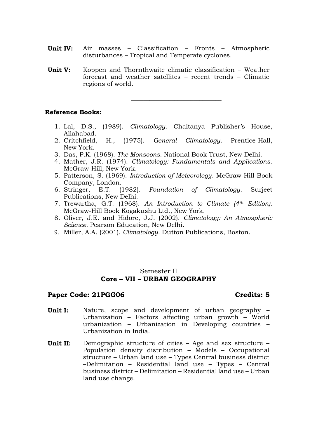- **Unit IV:** Air masses Classification Fronts Atmospheric disturbances – Tropical and Temperate cyclones.
- **Unit V:** Koppen and Thornthwaite climatic classification Weather forecast and weather satellites – recent trends – Climatic regions of world.

#### **Reference Books:**

1. Lal, D.S., (1989). *Climatology*. Chaitanya Publisher's House, Allahabad.

 $\_$ 

- 2. Critchfield, H., (1975). *General Climatology*. Prentice-Hall, New York.
- 3. Das, P.K. (1968). *The Monsoons*. National Book Trust, New Delhi.
- 4. Mather, J.R. (1974). *Climatology: Fundamentals and Applications*. McGraw-Hill, New York.
- 5. Patterson, S. (1969). *Introduction of Meteorology*. McGraw-Hill Book Company, London.
- 6. Stringer, E.T. (1982). *Foundation of Climatology*. Surjeet Publications, New Delhi.
- 7. Trewartha, G.T. (1968). *An Introduction to Climate (4th Edition).*  McGraw-Hill Book Kogakushu Ltd., New York.
- 8. Oliver, J.E. and Hidore, J.J. (2002). *Climatology: An Atmospheric Science*. Pearson Education, New Delhi.
- 9. Miller, A.A. (2001). *Climatology*. Dutton Publications, Boston.

### Semester II **Core – VII – URBAN GEOGRAPHY**

#### Paper Code: 21PGG06 **Credits: 5**

- **Unit I:** Nature, scope and development of urban geography Urbanization – Factors affecting urban growth – World urbanization – Urbanization in Developing countries – Urbanization in India.
- **Unit II:** Demographic structure of cities Age and sex structure Population density distribution – Models – Occupational structure – Urban land use – Types Central business district –Delimitation – Residential land use – Types – Central business district – Delimitation – Residential land use – Urban land use change.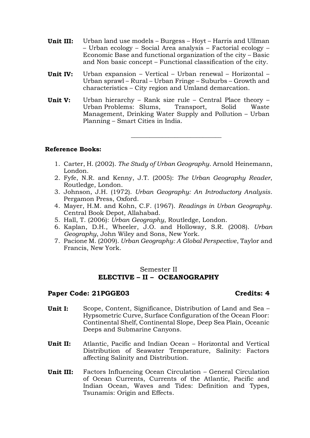- **Unit III:** Urban land use models Burgess Hoyt Harris and Ullman – Urban ecology – Social Area analysis – Factorial ecology – Economic Base and functional organization of the city – Basic and Non basic concept – Functional classification of the city.
- **Unit IV:** Urban expansion Vertical Urban renewal Horizontal Urban sprawl – Rural – Urban Fringe – Suburbs – Growth and characteristics – City region and Umland demarcation.
- **Unit V:** Urban hierarchy Rank size rule Central Place theory Urban Problems: Slums, Transport, Solid Waste Management, Drinking Water Supply and Pollution – Urban Planning – Smart Cities in India.

#### **Reference Books:**

1. Carter, H. (2002). *The Study of Urban Geography*. Arnold Heinemann, London.

\_\_\_\_\_\_\_\_\_\_\_\_\_\_\_\_\_\_\_\_\_\_\_\_\_\_\_\_\_

- 2. Fyfe, N.R. and Kenny, J.T. (2005): *The Urban Geography Reader*, Routledge, London.
- 3. Johnson, J.H. (1972). *Urban Geography: An Introductory Analysis*. Pergamon Press, Oxford.
- 4. Mayer, H.M. and Kohn, C.F. (1967). *Readings in Urban Geography*. Central Book Depot, Allahabad.
- 5. Hall, T. (2006): *Urban Geography*, Routledge, London.
- 6. Kaplan, D.H., Wheeler, J.O. and Holloway, S.R. (2008). *Urban Geography*, John Wiley and Sons, New York.
- 7. Pacione M. (2009). *Urban Geography: A Global Perspective*, Taylor and Francis, New York.

### Semester II **ELECTIVE – II – OCEANOGRAPHY**

#### **Paper Code: 21PGGE03 Credits: 4**

- **Unit I:** Scope, Content, Significance, Distribution of Land and Sea Hypsometric Curve, Surface Configuration of the Ocean Floor: Continental Shelf, Continental Slope, Deep Sea Plain, Oceanic Deeps and Submarine Canyons.
- **Unit II:** Atlantic, Pacific and Indian Ocean Horizontal and Vertical Distribution of Seawater Temperature, Salinity: Factors affecting Salinity and Distribution.
- **Unit III:** Factors Influencing Ocean Circulation General Circulation of Ocean Currents, Currents of the Atlantic, Pacific and Indian Ocean, Waves and Tides: Definition and Types, Tsunamis: Origin and Effects.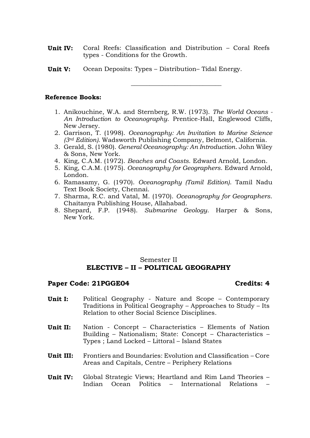- **Unit IV:** Coral Reefs: Classification and Distribution Coral Reefs types - Conditions for the Growth.
- **Unit V:** Ocean Deposits: Types Distribution– Tidal Energy.

#### \_\_\_\_\_\_\_\_\_\_\_\_\_\_\_\_\_\_\_\_\_\_\_\_\_\_\_\_\_

#### **Reference Books:**

- 1. Anikouchine, W.A. and Sternberg, R.W. (1973). *The World Oceans - An Introduction to Oceanography*. Prentice-Hall, Englewood Cliffs, New Jersey.
- 2. Garrison, T. (1998). *Oceanography: An Invitation to Marine Science (3rd Edition).* Wadsworth Publishing Company, Belmont, California.
- 3. Gerald, S. (1980). *General Oceanography: An Introduction*. John Wiley & Sons, New York.
- 4. King, C.A.M. (1972). *Beaches and Coasts*. Edward Arnold, London.
- 5. King, C.A.M. (1975). *Oceanography for Geographers*. Edward Arnold, London.
- 6. Ramasamy, G. (1970). *Oceanography (Tamil Edition)*. Tamil Nadu Text Book Society, Chennai.
- 7. Sharma, R.C. and Vatal, M. (1970). *Oceanography for Geographers*. Chaitanya Publishing House, Allahabad.
- 8. Shepard, F.P. (1948). *Submarine Geology*. Harper & Sons, New York.

### Semester II **ELECTIVE – II – POLITICAL GEOGRAPHY**

#### Paper Code: 21PGGE04 **Credits: 4**

- **Unit I:** Political Geography Nature and Scope Contemporary Traditions in Political Geography – Approaches to Study – Its Relation to other Social Science Disciplines.
- **Unit II:** Nation Concept Characteristics Elements of Nation Building – Nationalism; State: Concept – Characteristics – Types ; Land Locked – Littoral – Island States
- **Unit III:** Frontiers and Boundaries: Evolution and Classification Core Areas and Capitals, Centre – Periphery Relations
- **Unit IV:** Global Strategic Views; Heartland and Rim Land Theories Indian Ocean Politics – International Relations –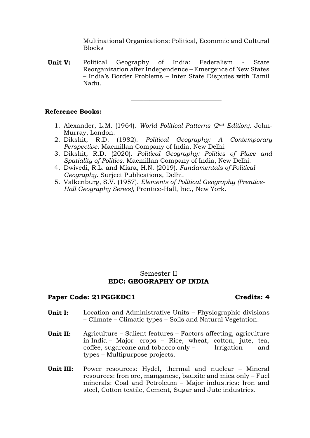Multinational Organizations: Political, Economic and Cultural **Blocks** 

**\_\_\_\_\_\_\_\_\_\_\_\_\_\_\_\_\_\_\_\_\_\_\_\_\_\_\_\_\_**

**Unit V:** Political Geography of India: Federalism - State Reorganization after Independence – Emergence of New States – India's Border Problems – Inter State Disputes with Tamil Nadu.

#### **Reference Books:**

- 1. Alexander, L.M. (1964). *World Political Patterns (2nd Edition)*. John-Murray, London.
- 2. Dikshit, R.D. (1982). *Political Geography: A Contemporary Perspective*. Macmillan Company of India, New Delhi.
- 3. Dikshit, R.D. (2020). *Political Geography: Politics of Place and Spatiality of Politics*. Macmillan Company of India, New Delhi.
- 4. Dwivedi, R.L. and Misra, H.N. (2019). *Fundamentals of Political Geography*. Surjeet Publications, Delhi.
- 5. Valkenburg, S.V. (1957). *Elements of Political Geography (Prentice-Hall Geography Series)*, Prentice-Hall, Inc., New York.

#### Semester II **EDC: GEOGRAPHY OF INDIA**

#### Paper Code: 21PGGEDC1 **Credits: 4**

- **Unit I:** Location and Administrative Units Physiographic divisions – Climate – Climatic types – Soils and Natural Vegetation.
- **Unit II:** Agriculture Salient features Factors affecting, agriculture in India – Major crops – Rice, wheat, cotton, jute, tea, coffee, sugarcane and tobacco only – Irrigation and types – Multipurpose projects.
- **Unit III:** Power resources: Hydel, thermal and nuclear Mineral resources: Iron ore, manganese, bauxite and mica only – Fuel minerals: Coal and Petroleum – Major industries: Iron and steel, Cotton textile, Cement, Sugar and Jute industries.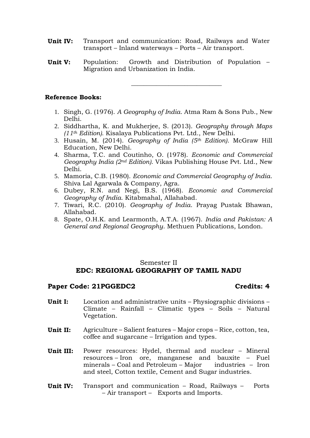- **Unit IV:** Transport and communication: Road, Railways and Water transport – Inland waterways – Ports – Air transport.
- **Unit V:** Population: Growth and Distribution of Population Migration and Urbanization in India.

\_\_\_\_\_\_\_\_\_\_\_\_\_\_\_\_\_\_\_\_\_\_\_\_\_\_\_\_\_

#### **Reference Books:**

- 1. Singh, G. (1976). *A Geography of India*. Atma Ram & Sons Pub., New Delhi.
- 2. Siddhartha, K. and Mukherjee, S. (2013). *Geography through Maps (11th Edition)*. Kisalaya Publications Pvt. Ltd., New Delhi.
- 3. Husain, M. (2014). *Geography of India (5th Edition)*. McGraw Hill Education, New Delhi.
- 4. Sharma, T.C. and Coutinho, O. (1978). *Economic and Commercial Geography India (2nd Edition)*. Vikas Publishing House Pvt. Ltd., New Delhi.
- 5. Mamoria, C.B. (1980). *Economic and Commercial Geography of India*. Shiva Lal Agarwala & Company, Agra.
- 6. Dubey, R.N. and Negi, B.S. (1968). *Economic and Commercial Geography of India*. Kitabmahal, Allahabad.
- 7. Tiwari, R.C. (2010). *Geography of India*. Prayag Pustak Bhawan, Allahabad.
- 8. Spate, O.H.K. and Learmonth, A.T.A. (1967). *India and Pakistan: A General and Regional Geography*. Methuen Publications, London.

### Semester II **EDC: REGIONAL GEOGRAPHY OF TAMIL NADU**

#### Paper Code: 21PGGEDC2 **Credits: 4**

- **Unit I:** Location and administrative units Physiographic divisions Climate – Rainfall – Climatic types – Soils – Natural Vegetation.
- **Unit II:** Agriculture Salient features Major crops Rice, cotton, tea, coffee and sugarcane – Irrigation and types.
- **Unit III:** Power resources: Hydel, thermal and nuclear Mineral resources – Iron ore, manganese and bauxite – Fuel minerals – Coal and Petroleum – Major industries – Iron and steel, Cotton textile, Cement and Sugar industries.
- **Unit IV:** Transport and communication Road, Railways Ports – Air transport – Exports and Imports.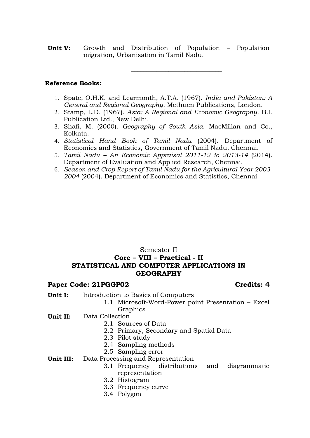**Unit V:** Growth and Distribution of Population – Population migration, Urbanisation in Tamil Nadu.

#### **Reference Books:**

1. Spate, O.H.K. and Learmonth, A.T.A. (1967). *India and Pakistan: A General and Regional Geography*. Methuen Publications, London.

\_\_\_\_\_\_\_\_\_\_\_\_\_\_\_\_\_\_\_\_\_\_\_\_\_\_\_\_\_

- 2. Stamp, L.D. (1967). *Asia: A Regional and Economic Geography*. B.I. Publication Ltd., New Delhi.
- 3. Shafi, M. (2000). *Geography of South Asia*. MacMillan and Co., Kolkata.
- 4. *Statistical Hand Book of Tamil Nadu* (2004). Department of Economics and Statistics, Government of Tamil Nadu, Chennai.
- 5. *Tamil Nadu – An Economic Appraisal 2011-12 to 2013-14* (2014). Department of Evaluation and Applied Research, Chennai.
- 6. *Season and Crop Report of Tamil Nadu for the Agricultural Year 2003- 2004* (2004). Department of Economics and Statistics, Chennai.

### Semester II **Core – VIII – Practical - II STATISTICAL AND COMPUTER APPLICATIONS IN GEOGRAPHY**

#### Paper Code: 21PGGP02 **Credits: 4**

- **Unit I:** Introduction to Basics of Computers
	- 1.1 Microsoft-Word-Power point Presentation Excel Graphics
- **Unit II:** Data Collection
	- 2.1 Sources of Data
	- 2.2 Primary, Secondary and Spatial Data
	- 2.3 Pilot study
	- 2.4 Sampling methods
	- 2.5 Sampling error
- **Unit III:** Data Processing and Representation
	- 3.1 Frequency distributions and diagrammatic representation
	- 3.2 Histogram
	- 3.3 Frequency curve
	- 3.4 Polygon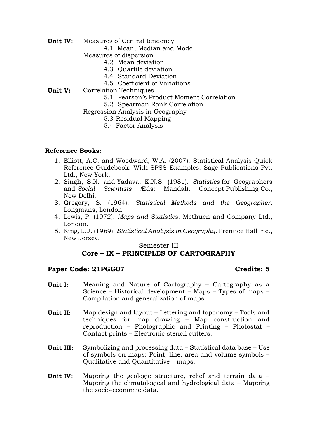- **Unit IV:** Measures of Central tendency
	- 4.1 Mean, Median and Mode
	- Measures of dispersion
		- 4.2 Mean deviation
		- 4.3 Quartile deviation
		- 4.4 Standard Deviation
		- 4.5 Coefficient of Variations
- **Unit V:** Correlation Techniques
	- 5.1 Pearson's Product Moment Correlation

 $\_$ 

- 5.2 Spearman Rank Correlation
- Regression Analysis in Geography
	- 5.3 Residual Mapping
	- 5.4 Factor Analysis

#### **Reference Books:**

- 1. Elliott, A.C. and Woodward, W.A. (2007). Statistical Analysis Quick Reference Guidebook: With SPSS Examples. Sage Publications Pvt. Ltd., New York.
- 2. Singh, S.N. and Yadava, K.N.S. (1981). *Statistics* for Geographers and *Social Scientists (*Eds: Mandal). Concept Publishing Co., New Delhi.
- 3. Gregory, S. (1964). *Statistical Methods and the Geographer*, Longmans, London.
- 4. Lewis, P. (1972). *Maps and Statistics*. Methuen and Company Ltd., London.
- 5. King, L.J. (1969). *Statistical Analysis in Geography*. Prentice Hall Inc., New Jersey.

#### Semester III

### **Core – IX – PRINCIPLES OF CARTOGRAPHY**

#### Paper Code: 21PGG07 **Credits: 5**

- **Unit I:** Meaning and Nature of Cartography Cartography as a Science – Historical development – Maps – Types of maps – Compilation and generalization of maps.
- **Unit II:** Map design and layout Lettering and toponomy Tools and techniques for map drawing – Map construction and reproduction – Photographic and Printing – Photostat – Contact prints – Electronic stencil cutters.
- **Unit III:** Symbolizing and processing data Statistical data base Use of symbols on maps: Point, line, area and volume symbols – Qualitative and Quantitative maps.
- **Unit IV:** Mapping the geologic structure, relief and terrain data Mapping the climatological and hydrological data – Mapping the socio-economic data.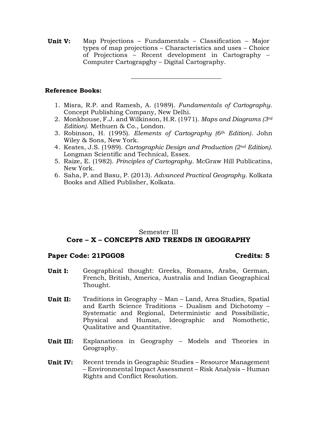**Unit V:** Map Projections – Fundamentals – Classification – Major types of map projections – Characteristics and uses – Choice of Projections – Recent development in Cartography – Computer Cartograpghy – Digital Cartography.

**Reference Books:**

1. Misra, R.P. and Ramesh, A. (1989). *Fundamentals of Cartography*. Concept Publishing Company, New Delhi.

\_\_\_\_\_\_\_\_\_\_\_\_\_\_\_\_\_\_\_\_\_\_\_\_\_\_\_\_\_

- 2. Monkhouse, F.J. and Wilkinson, H.R. (1971). *Maps and Diagrams (3rd Edition)*. Methuen & Co., London.
- 3. Robinson, H. (1995). *Elements of Cartography (6th Edition)*. John Wiley & Sons, New York.
- 4. Keates, J.S. (1989). *Cartographic Design and Production (2nd Edition)*. Longman Scientific and Technical, Essex.
- 5. Raize, E. (1982). *Principles of Cartography*. McGraw Hill Publicatins, New York.
- 6. Saha, P. and Basu, P. (2013). *Advanced Practical Geography*. Kolkata Books and Allied Publisher, Kolkata.

### Semester III **Core – X – CONCEPTS AND TRENDS IN GEOGRAPHY**

#### **Paper Code: 21PGG08 Credits: 5**

- **Unit I:** Geographical thought: Greeks, Romans, Arabs, German, French, British, America, Australia and Indian Geographical Thought.
- **Unit II:** Traditions in Geography Man Land, Area Studies, Spatial and Earth Science Traditions – Dualism and Dichotomy – Systematic and Regional, Deterministic and Possibilistic, Physical and Human, Ideographic and Nomothetic, Qualitative and Quantitative.
- **Unit III:** Explanations in Geography Models and Theories in Geography.
- **Unit IV:** Recent trends in Geographic Studies Resource Management – Environmental Impact Assessment – Risk Analysis – Human Rights and Conflict Resolution.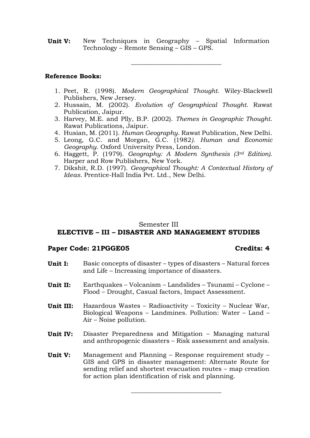**Unit V:** New Techniques in Geography – Spatial Information Technology – Remote Sensing – GIS – GPS.

\_\_\_\_\_\_\_\_\_\_\_\_\_\_\_\_\_\_\_\_\_\_\_\_\_\_\_\_\_

#### **Reference Books:**

- 1. Peet, R. (1998). *Modern Geographical Thought*. Wiley-Blackwell Publishers, New Jersey.
- 2. Hussain, M. (2002). *Evolution of Geographical Thought*. Rawat Publication, Jaipur.
- 3. Harvey, M.E. and Plly, B.P. (2002). *Themes in Geographic Thought*. Rawat Publications, Jaipur.
- 4. Husian, M. (2011). *Human Geography*. Rawat Publication, New Delhi.
- 5. Leong, G.C. and Morgan, G.C. (1982*). Human and Economic Geography*. Oxford University Press, London.
- 6. Haggett, P. (1979). *Geography: A Modern Synthesis (3rd Edition)*. Harper and Row Publishers, New York.
- 7. Dikshit, R.D. (1997). *Geographical Thought: A Contextual History of Ideas*. Prentice-Hall India Pvt. Ltd., New Delhi.

#### Semester III

# **ELECTIVE – III – DISASTER AND MANAGEMENT STUDIES**

#### **Paper Code: 21PGGE05 Credits: 4**

**Unit I:** Basic concepts of disaster – types of disasters – Natural forces and Life – Increasing importance of disasters. **Unit II:** Earthquakes – Volcanism – Landslides – Tsunami – Cyclone – Flood – Drought, Casual factors, Impact Assessment. **Unit III:** Hazardous Wastes – Radioactivity – Toxicity – Nuclear War, Biological Weapons – Landmines. Pollution: Water – Land – Air – Noise pollution. **Unit IV:** Disaster Preparedness and Mitigation – Managing natural and anthropogenic disasters – Risk assessment and analysis. **Unit V:** Management and Planning – Response requirement study – GIS and GPS in disaster management: Alternate Route for sending relief and shortest evacuation routes – map creation

for action plan identification of risk and planning.

\_\_\_\_\_\_\_\_\_\_\_\_\_\_\_\_\_\_\_\_\_\_\_\_\_\_\_\_\_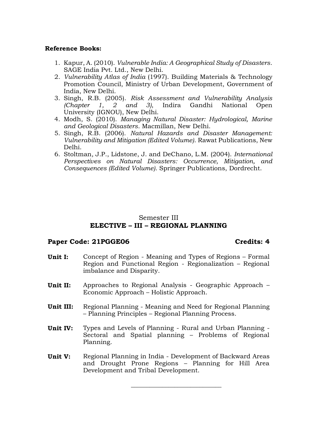#### **Reference Books:**

- 1. Kapur, A. (2010). *Vulnerable India: A Geographical Study of Disasters*. SAGE India Pvt. Ltd., New Delhi.
- 2. *Vulnerability Atlas of India* (1997). Building Materials & Technology Promotion Council, Ministry of Urban Development, Government of India, New Delhi.
- 3. Singh, R.B. (2005). *Risk Assessment and Vulnerability Analysis (Chapter 1, 2 and 3)*, Indira Gandhi National Open University (IGNOU), New Delhi.
- 4. Modh, S. (2010). *Managing Natural Disaster: Hydrological, Marine and Geological Disasters*. Macmillan, New Delhi.
- 5. Singh, R.B. (2006). *Natural Hazards and Disaster Management: Vulnerability and Mitigation (Edited Volume)*. Rawat Publications, New Delhi.
- 6. Stoltman*,* J.P., Lidstone, J. and DeChano, L.M. (2004). *International Perspectives on Natural Disasters: Occurrence, Mitigation, and Consequences (Edited Volume)*. Springer Publications, Dordrecht.

### Semester III **ELECTIVE – III – REGIONAL PLANNING**

#### Paper Code: 21PGGE06 **Credits: 4**

- **Unit I:** Concept of Region Meaning and Types of Regions Formal Region and Functional Region - Regionalization – Regional imbalance and Disparity.
- **Unit II:** Approaches to Regional Analysis Geographic Approach Economic Approach – Holistic Approach.
- **Unit III:** Regional Planning Meaning and Need for Regional Planning – Planning Principles – Regional Planning Process.
- **Unit IV:** Types and Levels of Planning Rural and Urban Planning Sectoral and Spatial planning – Problems of Regional Planning.
- **Unit V:** Regional Planning in India Development of Backward Areas and Drought Prone Regions – Planning for Hill Area Development and Tribal Development.

**\_\_\_\_\_\_\_\_\_\_\_\_\_\_\_\_\_\_\_\_\_\_\_\_\_\_\_\_\_**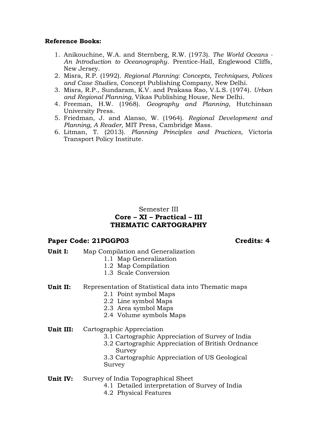#### **Reference Books:**

- 1. Anikouchine, W.A. and Sternberg, R.W. (1973). *The World Oceans - An Introduction to Oceanography*. Prentice-Hall, Englewood Cliffs, New Jersey.
- 2. Misra, R.P. (1992). *Regional Planning: Concepts, Techniques, Polices and Case Studies,* Concept Publishing Company, New Delhi.
- 3. Misra, R.P., Sundaram, K.V. and Prakasa Rao, V.L.S. (1974). *Urban and Regional Planning,* Vikas Publishing House, New Delhi.
- 4. Freeman, H.W. (1968). *Geography and Planning*, Hutchinsan University Press.
- 5. Friedman, J. and Alanso, W. (1964). *Regional Development and Planning, A Reader,* MIT Press, Cambridge Mass.
- 6. Litman, T. (2013). *Planning Principles and Practices,* Victoria Transport Policy Institute.

### Semester III **Core – XI – Practical – III THEMATIC CARTOGRAPHY**

### **Paper Code: 21PGGP03 Credits: 4**

- **Unit I:** Map Compilation and Generalization
	- 1.1 Map Generalization
	- 1.2 Map Compilation
	- 1.3 Scale Conversion
- **Unit II:** Representation of Statistical data into Thematic maps
	- 2.1 Point symbol Maps
		- 2.2 Line symbol Maps
		- 2.3 Area symbol Maps
		- 2.4 Volume symbols Maps
- **Unit III:** Cartographic Appreciation
	- 3.1 Cartographic Appreciation of Survey of India
	- 3.2 Cartographic Appreciation of British Ordnance Survey
	- 3.3 Cartographic Appreciation of US Geological Survey
- **Unit IV:** Survey of India Topographical Sheet
	- 4.1 Detailed interpretation of Survey of India
	- 4.2 Physical Features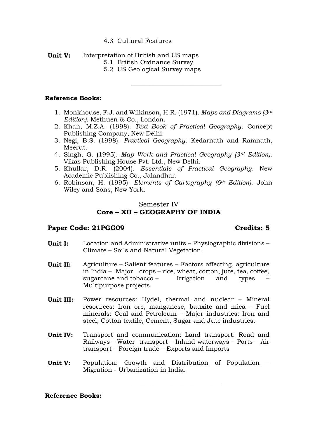#### 4.3 Cultural Features

- **Unit V:** Interpretation of British and US maps
	- 5.1 British Ordnance Survey
	- 5.2 US Geological Survey maps

#### **Reference Books:**

1. Monkhouse, F.J. and Wilkinson, H.R. (1971). *Maps and Diagrams (3rd Edition)*. Methuen & Co., London.

 $\_$ 

- 2. Khan, M.Z.A. (1998). *Text Book of Practical Geography*. Concept Publishing Company, New Delhi.
- 3. Negi, B.S. (1998). *Practical Geography*. Kedarnath and Ramnath, Meerut.
- 4. Singh, G. (1995). *Map Work and Practical Geography (3rd Edition)*. Vikas Publishing House Pvt. Ltd., New Delhi.
- 5. Khullar, D.R. (2004). *Essentials of Practical Geography*. New Academic Publishing Co., Jalandhar.
- 6. Robinson, H. (1995). *Elements of Cartography (6th Edition)*. John Wiley and Sons, New York.

### Semester IV **Core – XII – GEOGRAPHY OF INDIA**

#### Paper Code: 21PGG09 **Credits: 5**

- **Unit I:** Location and Administrative units Physiographic divisions Climate – Soils and Natural Vegetation.
- **Unit II:** Agriculture Salient features Factors affecting, agriculture in India – Major crops – rice, wheat, cotton, jute, tea, coffee, sugarcane and tobacco – Irrigation and types Multipurpose projects.
- **Unit III:** Power resources: Hydel, thermal and nuclear Mineral resources: Iron ore, manganese, bauxite and mica – Fuel minerals: Coal and Petroleum – Major industries: Iron and steel, Cotton textile, Cement, Sugar and Jute industries.
- **Unit IV:** Transport and communication: Land transport: Road and Railways – Water transport – Inland waterways – Ports – Air transport – Foreign trade – Exports and Imports
- **Unit V:** Population: Growth and Distribution of Population Migration - Urbanization in India.

\_\_\_\_\_\_\_\_\_\_\_\_\_\_\_\_\_\_\_\_\_\_\_\_\_\_\_\_\_

**Reference Books:**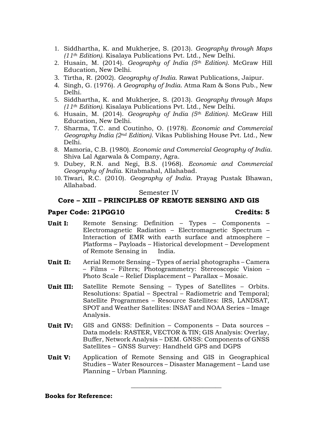- 1. Siddhartha, K. and Mukherjee, S. (2013). *Geography through Maps (11th Edition)*. Kisalaya Publications Pvt. Ltd., New Delhi.
- 2. Husain, M. (2014). *Geography of India (5th Edition)*. McGraw Hill Education, New Delhi.
- 3. Tirtha, R. (2002). *Geography of India.* Rawat Publications, Jaipur.
- 4. Singh, G. (1976). *A Geography of India*. Atma Ram & Sons Pub., New Delhi.
- 5. Siddhartha, K. and Mukherjee, S. (2013). *Geography through Maps (11th Edition)*. Kisalaya Publications Pvt. Ltd., New Delhi.
- 6. Husain, M. (2014). *Geography of India (5th Edition)*. McGraw Hill Education, New Delhi.
- 7. Sharma, T.C. and Coutinho, O. (1978). *Economic and Commercial Geography India (2nd Edition)*. Vikas Publishing House Pvt. Ltd., New Delhi.
- 8. Mamoria, C.B. (1980). *Economic and Commercial Geography of India*. Shiva Lal Agarwala & Company, Agra.
- 9. Dubey, R.N. and Negi, B.S. (1968). *Economic and Commercial Geography of India*. Kitabmahal, Allahabad.
- 10. Tiwari, R.C. (2010). *Geography of India*. Prayag Pustak Bhawan, Allahabad.

#### Semester IV

#### **Core – XIII – PRINCIPLES OF REMOTE SENSING AND GIS**

#### **Paper Code: 21PGG10 Credits: 5**

- **Unit I:** Remote Sensing: Definition Types Components Electromagnetic Radiation – Electromagnetic Spectrum – Interaction of EMR with earth surface and atmosphere – Platforms – Payloads – Historical development – Development of Remote Sensing in India.
- **Unit II:** Aerial Remote Sensing Types of aerial photographs Camera – Films – Filters; Photogrammetry: Stereoscopic Vision – Photo Scale – Relief Displacement – Parallax – Mosaic.
- **Unit III:** Satellite Remote Sensing Types of Satellites Orbits. Resolutions: Spatial – Spectral – Radiometric and Temporal; Satellite Programmes – Resource Satellites: IRS, LANDSAT, SPOT and Weather Satellites: INSAT and NOAA Series – Image Analysis.
- **Unit IV:** GIS and GNSS: Definition Components Data sources Data models: RASTER, VECTOR & TIN; GIS Analysis: Overlay, Buffer, Network Analysis – DEM. GNSS: Components of GNSS Satellites – GNSS Survey: Handheld GPS and DGPS
- **Unit V:** Application of Remote Sensing and GIS in Geographical Studies – Water Resources – Disaster Management – Land use Planning – Urban Planning.

\_\_\_\_\_\_\_\_\_\_\_\_\_\_\_\_\_\_\_\_\_\_\_\_\_\_\_\_\_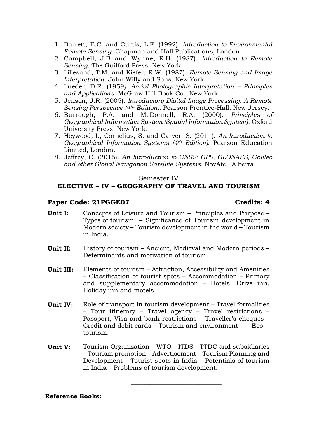- 1. Barrett, E.C. and Curtis, L.F. (1992). *Introduction to Environmental Remote Sensing*. Chapman and Hall Publications, London.
- 2. [Campbell,](http://www.guilford.com/author/James-B-Campbell) J.B. and [Wynne,](http://www.guilford.com/author/Randolph-H-Wynne) R.H. (1987). *Introduction to Remote Sensing*. The Guilford Press, New York.
- 3. Lillesand, T.M. and Kiefer, R.W. (1987). *Remote Sensing and Image Interpretation*. John Willy and Sons, New York.
- 4. Lueder, D.R. (1959*). Aerial Photographic Interpretation – Principles and Applications*. McGraw Hill Book Co., New York.
- 5. Jensen, J.R. (2005). *Introductory Digital Image Processing: A Remote Sensing Perspective (4th Edition)*. Pearson Prentice-Hall, New Jersey.
- 6. Burrough, P.A. and McDonnell, R.A. (2000). *Principles of Geographical Information System (Spatial Information System)*. Oxford University Press, New York.
- 7. Heywood, I., Cornelius, S. and Carver, S. (2011). *An Introduction to Geographical Information Systems (4th Edition)*. Pearson Education Limited, London.
- 8. Jeffrey, C. (2015). *An Introduction to GNSS: GPS, GLONASS, Galileo and other Global Navigation Satellite Systems*. NovAtel, Alberta.

#### Semester IV

### **ELECTIVE – IV – GEOGRAPHY OF TRAVEL AND TOURISM**

#### **Paper Code: 21PGGE07 Credits: 4**

#### **Unit I:** Concepts of Leisure and Tourism – Principles and Purpose – Types of tourism – Significance of Tourism development in Modern society – Tourism development in the world – Tourism in India.

- **Unit II:** History of tourism Ancient, Medieval and Modern periods Determinants and motivation of tourism.
- **Unit III:** Elements of tourism Attraction, Accessibility and Amenities – Classification of tourist spots – Accommodation – Primary and supplementary accommodation – Hotels, Drive inn, Holiday inn and motels.
- **Unit IV:** Role of transport in tourism development Travel formalities – Tour itinerary – Travel agency – Travel restrictions – Passport, Visa and bank restrictions – Traveller's cheques – Credit and debit cards – Tourism and environment – Eco tourism.
- **Unit V:** Tourism Organization WTO ITDS TTDC and subsidiaries – Tourism promotion – Advertisement – Tourism Planning and Development – Tourist spots in India – Potentials of tourism in India – Problems of tourism development.

\_\_\_\_\_\_\_\_\_\_\_\_\_\_\_\_\_\_\_\_\_\_\_\_\_\_\_\_\_

#### **Reference Books:**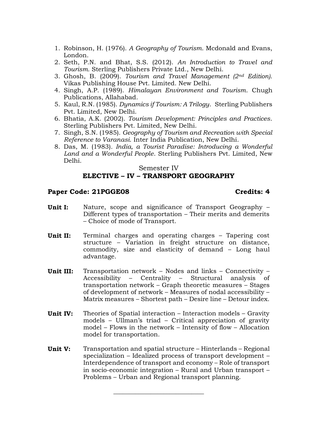- 1. Robinson, H. (1976). *A Geography of Tourism*. Mcdonald and Evans, London.
- 2. Seth, P.N. and Bhat, S.S. (2012). *An Introduction to Travel and Tourism*. Sterling Publishers Private Ltd., New Delhi.
- 3. Ghosh, B. (2009). *Tourism and Travel Management (2nd Edition)*. Vikas Publishing House Pvt. Limited. New Delhi.
- 4. Singh, A.P. (1989). *Himalayan Environment and Tourism*. Chugh Publications, Allahabad.
- 5. Kaul, R.N. (1985). *Dynamics if Tourism: A Trilogy*. Sterling Publishers Pvt. Limited, New Delhi.
- 6. Bhatia, A.K. (2002). *Tourism Development: Principles and Practices*. Sterling Publishers Pvt. Limited, New Delhi.
- 7. Singh, S.N. (1985). *Geography of Tourism and Recreation with Special Reference to Varanasi*. Inter India Publication, New Delhi.
- 8. Das, M. (1983)*. India, a Tourist Paradise: Introducing a Wonderful Land and a Wonderful People*. Sterling Publishers Pvt. Limited, New Delhi.

#### Semester IV

#### **ELECTIVE – IV – TRANSPORT GEOGRAPHY**

#### Paper Code: 21PGGE08 **Credits: 4**

- **Unit I:** Nature, scope and significance of Transport Geography Different types of transportation – Their merits and demerits – Choice of mode of Transport.
- **Unit II:** Terminal charges and operating charges Tapering cost structure – Variation in freight structure on distance, commodity, size and elasticity of demand – Long haul advantage.
- **Unit III:** Transportation network Nodes and links Connectivity Accessibility – Centrality – Structural analysis of transportation network – Graph theoretic measures – Stages of development of network – Measures of nodal accessibility – Matrix measures – Shortest path – Desire line – Detour index.
- **Unit IV:** Theories of Spatial interaction Interaction models Gravity models – Ullman's triad – Critical appreciation of gravity model – Flows in the network – Intensity of flow – Allocation model for transportation.
- **Unit V:** Transportation and spatial structure Hinterlands Regional specialization – Idealized process of transport development – Interdependence of transport and economy – Role of transport in socio-economic integration – Rural and Urban transport – Problems – Urban and Regional transport planning.

**\_\_\_\_\_\_\_\_\_\_\_\_\_\_\_\_\_\_\_\_\_\_\_\_\_\_\_\_\_**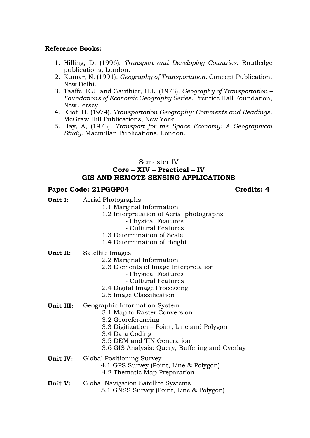#### **Reference Books:**

- 1. Hilling, D. (1996). *Transport and Developing Countries*. Routledge publications, London.
- 2. Kumar, N. (1991). *Geography of Transportation*. Concept Publication, New Delhi.
- 3. Taaffe, E.J. and Gauthier, H.L. (1973). *Geography of Transportation – Foundations of Economic Geography Series*. Prentice Hall Foundation, New Jersey.
- 4. Eliot, H. (1974). *Transportation Geography: Comments and Readings*. McGraw Hill Publications, New York.
- 5. Hay, A, (1973). *Transport for the Space Economy: A Geographical Study.* Macmillan Publications, London.

### Semester IV **Core – XIV – Practical – IV GIS AND REMOTE SENSING APPLICATIONS**

#### **Paper Code: 21PGGP04 Credits: 4**

- **Unit I:** Aerial Photographs
	- 1.1 Marginal Information
	- 1.2 Interpretation of Aerial photographs
		- Physical Features
		- Cultural Features
	- 1.3 Determination of Scale
	- 1.4 Determination of Height
- **Unit II:** Satellite Images
	- 2.2 Marginal Information
	- 2.3 Elements of Image Interpretation
		- Physical Features
		- Cultural Features
	- 2.4 Digital Image Processing
	- 2.5 Image Classification
- **Unit III:** Geographic Information System
	- 3.1 Map to Raster Conversion
	- 3.2 Georeferencing
	- 3.3 Digitization Point, Line and Polygon
	- 3.4 Data Coding
	- 3.5 DEM and TIN Generation
	- 3.6 GIS Analysis: Query, Buffering and Overlay
- **Unit IV:** Global Positioning Survey
	- 4.1 GPS Survey (Point, Line & Polygon)
	- 4.2 Thematic Map Preparation
- **Unit V:** Global Navigation Satellite Systems 5.1 GNSS Survey (Point, Line & Polygon)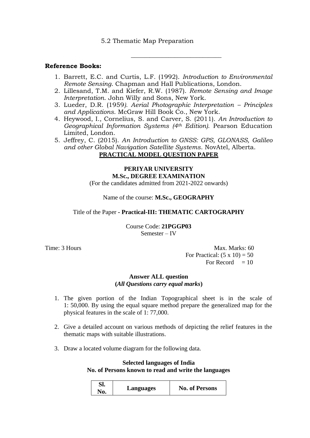#### 5.2 Thematic Map Preparation

#### **Reference Books:**

1. Barrett, E.C. and Curtis, L.F. (1992). *Introduction to Environmental Remote Sensing*. Chapman and Hall Publications, London.

\_\_\_\_\_\_\_\_\_\_\_\_\_\_\_\_\_\_\_\_\_\_\_\_\_\_\_\_\_

- 2. Lillesand, T.M. and Kiefer, R.W. (1987). *Remote Sensing and Image Interpretation*. John Willy and Sons, New York.
- 3. Lueder, D.R. (1959*). Aerial Photographic Interpretation – Principles and Applications*. McGraw Hill Book Co., New York.
- 4. Heywood, I., Cornelius, S. and Carver, S. (2011). *An Introduction to Geographical Information Systems (4th Edition)*. Pearson Education Limited, London.
- 5. Jeffrey, C. (2015). *An Introduction to GNSS: GPS, GLONASS, Galileo and other Global Navigation Satellite Systems*. NovAtel, Alberta.

#### **PRACTICAL MODEL QUESTION PAPER**

# **PERIYAR UNIVERSITY M.Sc., DEGREE EXAMINATION**

(For the candidates admitted from 2021-2022 onwards)

Name of the course: **M.Sc., GEOGRAPHY**

#### Title of the Paper **- Practical-III: THEMATIC CARTOGRAPHY**

Course Code: **21PGGP03** Semester – IV

Time: 3 Hours Max. Marks: 60 For Practical:  $(5 \times 10) = 50$ For Record  $= 10$ 

#### **Answer ALL question**

**(***All Questions carry equal marks***)**

- 1. The given portion of the Indian Topographical sheet is in the scale of 1: 50,000. By using the equal square method prepare the generalized map for the physical features in the scale of 1: 77,000.
- 2. Give a detailed account on various methods of depicting the relief features in the thematic maps with suitable illustrations.
- 3. Draw a located volume diagram for the following data.

#### **Selected languages of India No. of Persons known to read and write the languages**

| Sl.<br>No. | Languages | <b>No. of Persons</b> |
|------------|-----------|-----------------------|
|------------|-----------|-----------------------|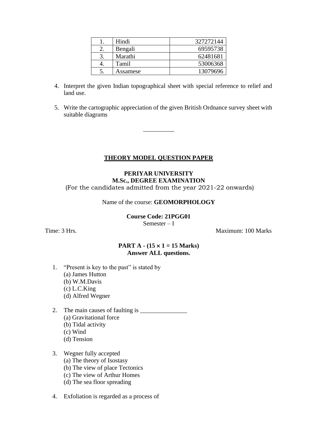| Hindi    | 327272144 |
|----------|-----------|
| Bengali  | 69595738  |
| Marathi  | 62481681  |
| Tamil    | 53006368  |
| Assamese | 13079696  |

- 4. Interpret the given Indian topographical sheet with special reference to relief and land use.
- 5. Write the cartographic appreciation of the given British Ordnance survey sheet with suitable diagrams

#### **THEORY MODEL QUESTION PAPER**

\_\_\_\_\_\_\_\_\_\_

#### **PERIYAR UNIVERSITY M.Sc., DEGREE EXAMINATION**  (For the candidates admitted from the year 2021-22 onwards)

Name of the course: **GEOMORPHOLOGY**

**Course Code: 21PGG01**

Semester – I

Time: 3 Hrs. Maximum: 100 Marks

#### **PART A - (15 1 = 15 Marks) Answer ALL questions.**

- 1. "Present is key to the past" is stated by
	- (a) James Hutton
	- (b) W.M.Davis
	- (c) L.C.King
	- (d) Alfred Wegner
- 2. The main causes of faulting is (a) Gravitational force (b) Tidal activity
	- (c) Wind
	- (d) Tension

#### 3. Wegner fully accepted

- (a) The theory of Isostasy
- (b) The view of place Tectonics
- (c) The view of Arthur Homes
- (d) The sea floor spreading
- 4. Exfoliation is regarded as a process of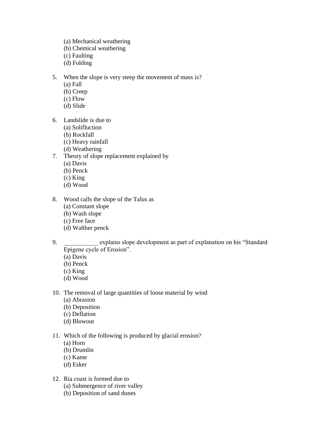- (a) Mechanical weathering
- (b) Chemical weathering
- (c) Faulting
- (d) Folding
- 5. When the slope is very steep the movement of mass is?
	- (a) Fall
	- (b) Creep
	- (c) Flow
	- (d) Slide
- 6. Landslide is due to
	- (a) Solifluction
	- (b) Rockfall
	- (c) Heavy rainfall
	- (d) Weathering
- 7. Theory of slope replacement explained by
	- (a) Davis
	- (b) Penck
	- (c) King
	- (d) Wood
- 8. Wood calls the slope of the Talus as
	- (a) Constant slope
	- (b) Wash slope
	- (c) Free face
	- (d) Walther penck
- 9. explains slope development as part of explanation on his "Standard Epigene cycle of Erosion".
	- (a) Davis
	- (b) Penck
	- (c) King
	- (d) Wood
- 10. The removal of large quantities of loose material by wind
	- (a) Abrasion
	- (b) Deposition
	- (c) Deflation
	- (d) Blowout
- 11. Which of the following is produced by glacial erosion?
	- (a) Horn
	- (b) Drumlin
	- (c) Kame
	- (d) Esker
- 12. Ria coast is formed due to
	- (a) Submergence of river valley
	- (b) Deposition of sand dunes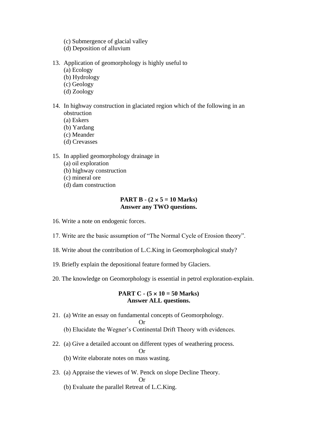- (c) Submergence of glacial valley
- (d) Deposition of alluvium
- 13. Application of geomorphology is highly useful to
	- (a) Ecology
	- (b) Hydrology
	- (c) Geology
	- (d) Zoology
- 14. In highway construction in glaciated region which of the following in an obstruction
	- (a) Eskers
	- (b) Yardang
	- (c) Meander
	- (d) Crevasses
- 15. In applied geomorphology drainage in
	- (a) oil exploration
	- (b) highway construction
	- (c) mineral ore
	- (d) dam construction

#### **PART B** -  $(2 \times 5 = 10 \text{ Marks})$ **Answer any TWO questions.**

- 16. Write a note on endogenic forces.
- 17. Write are the basic assumption of "The Normal Cycle of Erosion theory".
- 18. Write about the contribution of L.C.King in Geomorphological study?
- 19. Briefly explain the depositional feature formed by Glaciers.
- 20. The knowledge on Geomorphology is essential in petrol exploration-explain.

#### **PART C - (5 10 = 50 Marks) Answer ALL questions.**

21. (a) Write an essay on fundamental concepts of Geomorphology.

Or

- (b) Elucidate the Wegner's Continental Drift Theory with evidences.
- 22. (a) Give a detailed account on different types of weathering process.

Or

- (b) Write elaborate notes on mass wasting.
- 23. (a) Appraise the viewes of W. Penck on slope Decline Theory. Or
	- (b) Evaluate the parallel Retreat of L.C.King.